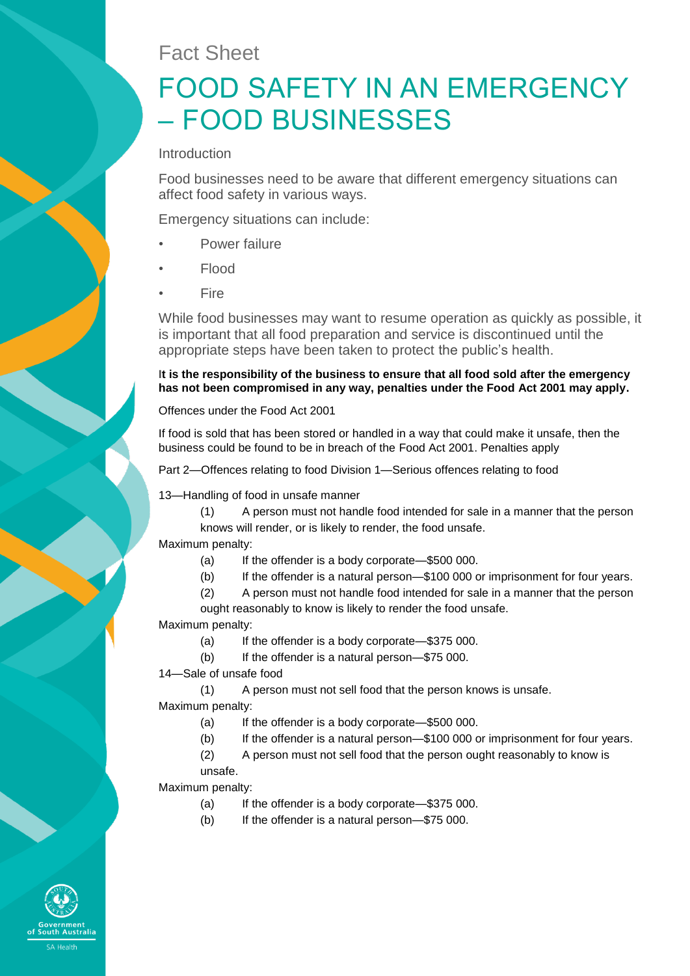# Fact Sheet

# FOOD SAFETY IN AN EMERGENCY – FOOD BUSINESSES

Introduction

Food businesses need to be aware that different emergency situations can affect food safety in various ways.

Emergency situations can include:

- Power failure
- Flood
- Fire

While food businesses may want to resume operation as quickly as possible, it is important that all food preparation and service is discontinued until the appropriate steps have been taken to protect the public's health.

**It is the responsibility of the business to ensure that all food sold after the emergency has not been compromised in any way, penalties under the Food Act 2001 may apply.**

Offences under the Food Act 2001

If food is sold that has been stored or handled in a way that could make it unsafe, then the business could be found to be in breach of the Food Act 2001. Penalties apply

Part 2—Offences relating to food Division 1—Serious offences relating to food

13—Handling of food in unsafe manner

(1) A person must not handle food intended for sale in a manner that the person knows will render, or is likely to render, the food unsafe.

Maximum penalty:

- (a) If the offender is a body corporate—\$500 000.
- (b) If the offender is a natural person—\$100 000 or imprisonment for four years.

(2) A person must not handle food intended for sale in a manner that the person ought reasonably to know is likely to render the food unsafe.

Maximum penalty:

(a) If the offender is a body corporate—\$375 000.

- (b) If the offender is a natural person—\$75 000.
- 14—Sale of unsafe food

(1) A person must not sell food that the person knows is unsafe. Maximum penalty:

(a) If the offender is a body corporate—\$500 000.

- (b) If the offender is a natural person—\$100 000 or imprisonment for four years.
- (2) A person must not sell food that the person ought reasonably to know is

unsafe.

Maximum penalty:

- (a) If the offender is a body corporate—\$375 000.
- (b) If the offender is a natural person—\$75 000.

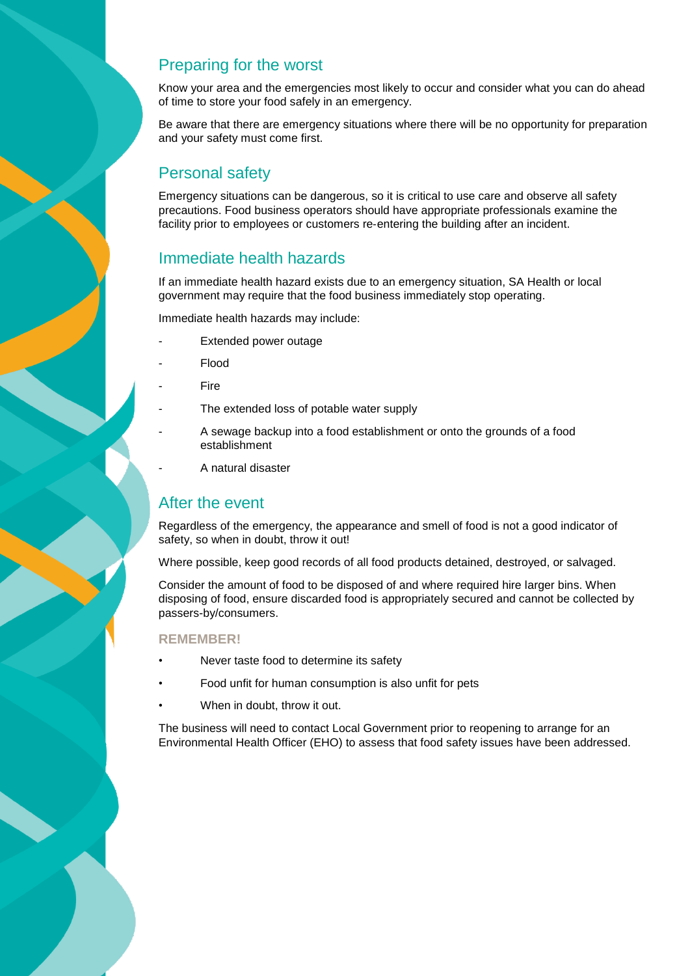### Preparing for the worst

Know your area and the emergencies most likely to occur and consider what you can do ahead of time to store your food safely in an emergency.

Be aware that there are emergency situations where there will be no opportunity for preparation and your safety must come first.

# Personal safety

Emergency situations can be dangerous, so it is critical to use care and observe all safety precautions. Food business operators should have appropriate professionals examine the facility prior to employees or customers re-entering the building after an incident.

### Immediate health hazards

If an immediate health hazard exists due to an emergency situation, SA Health or local government may require that the food business immediately stop operating.

Immediate health hazards may include:

- Extended power outage
- Flood
- **Fire**
- The extended loss of potable water supply
- A sewage backup into a food establishment or onto the grounds of a food establishment
- A natural disaster

### After the event

Regardless of the emergency, the appearance and smell of food is not a good indicator of safety, so when in doubt, throw it out!

Where possible, keep good records of all food products detained, destroyed, or salvaged.

Consider the amount of food to be disposed of and where required hire larger bins. When disposing of food, ensure discarded food is appropriately secured and cannot be collected by passers-by/consumers.

#### **REMEMBER!**

- Never taste food to determine its safety
- Food unfit for human consumption is also unfit for pets
- When in doubt, throw it out.

The business will need to contact Local Government prior to reopening to arrange for an Environmental Health Officer (EHO) to assess that food safety issues have been addressed.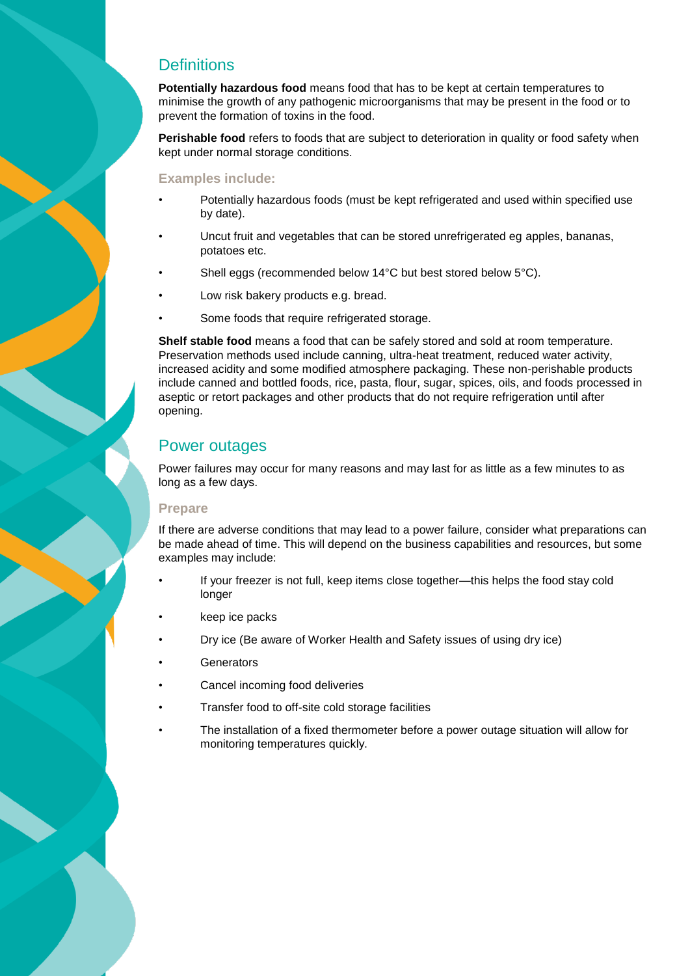### **Definitions**

**Potentially hazardous food** means food that has to be kept at certain temperatures to minimise the growth of any pathogenic microorganisms that may be present in the food or to prevent the formation of toxins in the food.

**Perishable food** refers to foods that are subject to deterioration in quality or food safety when kept under normal storage conditions.

#### **Examples include:**

- Potentially hazardous foods (must be kept refrigerated and used within specified use by date).
- Uncut fruit and vegetables that can be stored unrefrigerated eg apples, bananas, potatoes etc.
- Shell eggs (recommended below 14°C but best stored below 5°C).
- Low risk bakery products e.g. bread.
- Some foods that require refrigerated storage.

**Shelf stable food** means a food that can be safely stored and sold at room temperature. Preservation methods used include canning, ultra-heat treatment, reduced water activity, increased acidity and some modified atmosphere packaging. These non-perishable products include canned and bottled foods, rice, pasta, flour, sugar, spices, oils, and foods processed in aseptic or retort packages and other products that do not require refrigeration until after opening.

### Power outages

Power failures may occur for many reasons and may last for as little as a few minutes to as long as a few days.

#### **Prepare**

If there are adverse conditions that may lead to a power failure, consider what preparations can be made ahead of time. This will depend on the business capabilities and resources, but some examples may include:

- If your freezer is not full, keep items close together—this helps the food stay cold longer
- keep ice packs
- Dry ice (Be aware of Worker Health and Safety issues of using dry ice)
- **Generators**
- Cancel incoming food deliveries
- Transfer food to off-site cold storage facilities
- The installation of a fixed thermometer before a power outage situation will allow for monitoring temperatures quickly.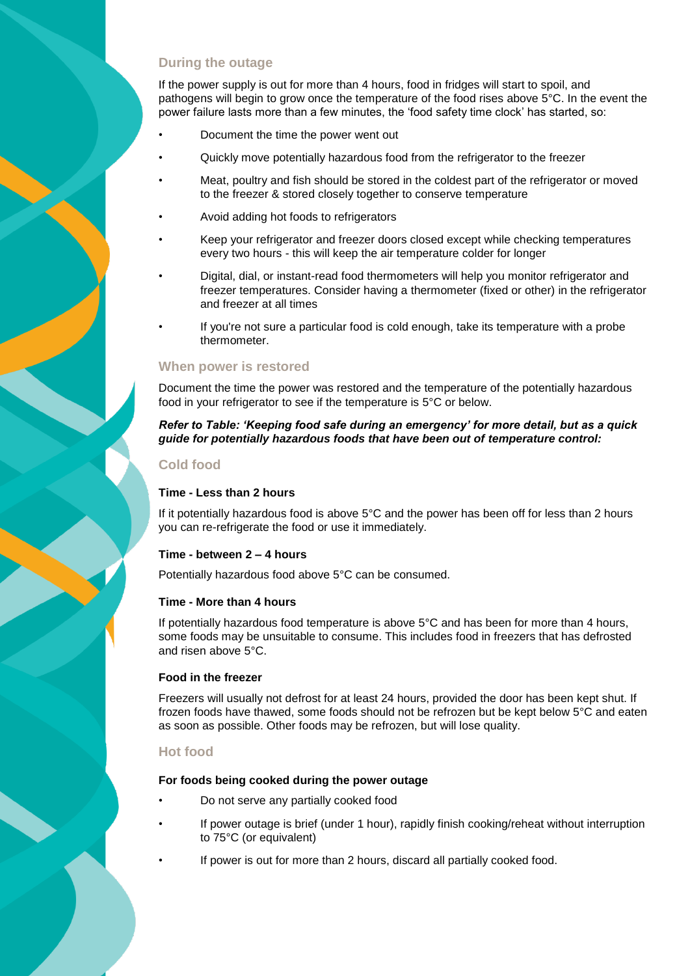#### **During the outage**

If the power supply is out for more than 4 hours, food in fridges will start to spoil, and pathogens will begin to grow once the temperature of the food rises above 5°C. In the event the power failure lasts more than a few minutes, the 'food safety time clock' has started, so:

- Document the time the power went out
- Quickly move potentially hazardous food from the refrigerator to the freezer
- Meat, poultry and fish should be stored in the coldest part of the refrigerator or moved to the freezer & stored closely together to conserve temperature
- Avoid adding hot foods to refrigerators
- Keep your refrigerator and freezer doors closed except while checking temperatures every two hours - this will keep the air temperature colder for longer
- Digital, dial, or instant-read food thermometers will help you monitor refrigerator and freezer temperatures. Consider having a thermometer (fixed or other) in the refrigerator and freezer at all times
- If you're not sure a particular food is cold enough, take its temperature with a probe thermometer.

#### **When power is restored**

Document the time the power was restored and the temperature of the potentially hazardous food in your refrigerator to see if the temperature is 5°C or below.

#### *Refer to Table: 'Keeping food safe during an emergency' for more detail, but as a quick guide for potentially hazardous foods that have been out of temperature control:*

#### **Cold food**

#### **Time - Less than 2 hours**

If it potentially hazardous food is above 5°C and the power has been off for less than 2 hours you can re-refrigerate the food or use it immediately.

#### **Time - between 2 – 4 hours**

Potentially hazardous food above 5°C can be consumed.

#### **Time - More than 4 hours**

If potentially hazardous food temperature is above 5°C and has been for more than 4 hours, some foods may be unsuitable to consume. This includes food in freezers that has defrosted and risen above 5°C.

#### **Food in the freezer**

Freezers will usually not defrost for at least 24 hours, provided the door has been kept shut. If frozen foods have thawed, some foods should not be refrozen but be kept below 5°C and eaten as soon as possible. Other foods may be refrozen, but will lose quality.

#### **Hot food**

#### **For foods being cooked during the power outage**

- Do not serve any partially cooked food
- If power outage is brief (under 1 hour), rapidly finish cooking/reheat without interruption to 75°C (or equivalent)
- If power is out for more than 2 hours, discard all partially cooked food.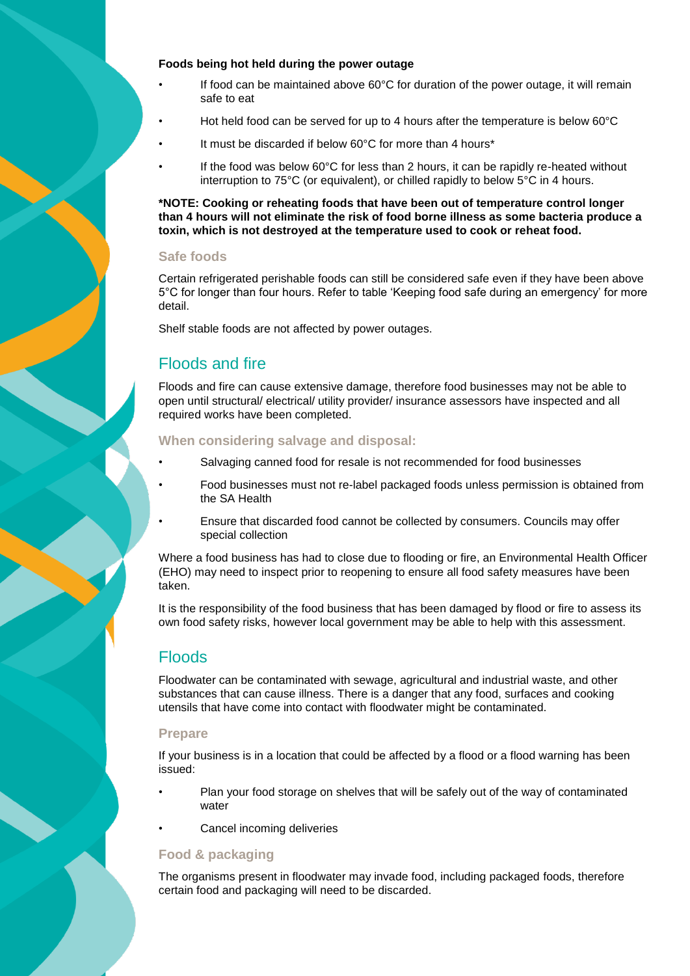#### **Foods being hot held during the power outage**

- If food can be maintained above 60°C for duration of the power outage, it will remain safe to eat
- Hot held food can be served for up to 4 hours after the temperature is below 60°C
- It must be discarded if below 60°C for more than 4 hours\*
- If the food was below 60°C for less than 2 hours, it can be rapidly re-heated without interruption to 75°C (or equivalent), or chilled rapidly to below 5°C in 4 hours.

**\*NOTE: Cooking or reheating foods that have been out of temperature control longer than 4 hours will not eliminate the risk of food borne illness as some bacteria produce a toxin, which is not destroyed at the temperature used to cook or reheat food.**

#### **Safe foods**

Certain refrigerated perishable foods can still be considered safe even if they have been above 5°C for longer than four hours. Refer to table 'Keeping food safe during an emergency' for more detail.

Shelf stable foods are not affected by power outages.

### Floods and fire

Floods and fire can cause extensive damage, therefore food businesses may not be able to open until structural/ electrical/ utility provider/ insurance assessors have inspected and all required works have been completed.

#### **When considering salvage and disposal:**

- Salvaging canned food for resale is not recommended for food businesses
- Food businesses must not re-label packaged foods unless permission is obtained from the SA Health
- Ensure that discarded food cannot be collected by consumers. Councils may offer special collection

Where a food business has had to close due to flooding or fire, an Environmental Health Officer (EHO) may need to inspect prior to reopening to ensure all food safety measures have been taken.

It is the responsibility of the food business that has been damaged by flood or fire to assess its own food safety risks, however local government may be able to help with this assessment.

# **Floods**

Floodwater can be contaminated with sewage, agricultural and industrial waste, and other substances that can cause illness. There is a danger that any food, surfaces and cooking utensils that have come into contact with floodwater might be contaminated.

#### **Prepare**

If your business is in a location that could be affected by a flood or a flood warning has been issued:

- Plan your food storage on shelves that will be safely out of the way of contaminated water
- Cancel incoming deliveries

#### **Food & packaging**

The organisms present in floodwater may invade food, including packaged foods, therefore certain food and packaging will need to be discarded.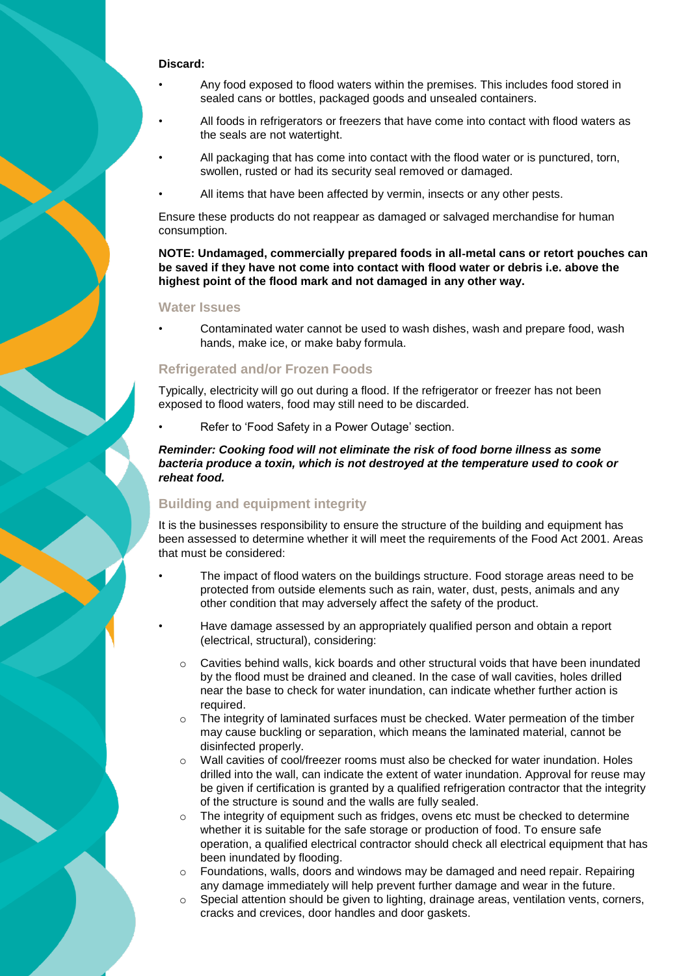#### **Discard:**

- Any food exposed to flood waters within the premises. This includes food stored in sealed cans or bottles, packaged goods and unsealed containers.
- All foods in refrigerators or freezers that have come into contact with flood waters as the seals are not watertight.
- All packaging that has come into contact with the flood water or is punctured, torn, swollen, rusted or had its security seal removed or damaged.
- All items that have been affected by vermin, insects or any other pests.

Ensure these products do not reappear as damaged or salvaged merchandise for human consumption.

**NOTE: Undamaged, commercially prepared foods in all**‐**metal cans or retort pouches can be saved if they have not come into contact with flood water or debris i.e. above the highest point of the flood mark and not damaged in any other way.**

#### **Water Issues**

• Contaminated water cannot be used to wash dishes, wash and prepare food, wash hands, make ice, or make baby formula.

#### **Refrigerated and/or Frozen Foods**

Typically, electricity will go out during a flood. If the refrigerator or freezer has not been exposed to flood waters, food may still need to be discarded.

Refer to 'Food Safety in a Power Outage' section.

*Reminder: Cooking food will not eliminate the risk of food borne illness as some bacteria produce a toxin, which is not destroyed at the temperature used to cook or reheat food.*

### **Building and equipment integrity**

It is the businesses responsibility to ensure the structure of the building and equipment has been assessed to determine whether it will meet the requirements of the Food Act 2001. Areas that must be considered:

- The impact of flood waters on the buildings structure. Food storage areas need to be protected from outside elements such as rain, water, dust, pests, animals and any other condition that may adversely affect the safety of the product.
- Have damage assessed by an appropriately qualified person and obtain a report (electrical, structural), considering:
	- $\circ$  Cavities behind walls, kick boards and other structural voids that have been inundated by the flood must be drained and cleaned. In the case of wall cavities, holes drilled near the base to check for water inundation, can indicate whether further action is required.
	- o The integrity of laminated surfaces must be checked. Water permeation of the timber may cause buckling or separation, which means the laminated material, cannot be disinfected properly.
	- o Wall cavities of cool/freezer rooms must also be checked for water inundation. Holes drilled into the wall, can indicate the extent of water inundation. Approval for reuse may be given if certification is granted by a qualified refrigeration contractor that the integrity of the structure is sound and the walls are fully sealed.
	- $\circ$  The integrity of equipment such as fridges, ovens etc must be checked to determine whether it is suitable for the safe storage or production of food. To ensure safe operation, a qualified electrical contractor should check all electrical equipment that has been inundated by flooding.
	- o Foundations, walls, doors and windows may be damaged and need repair. Repairing any damage immediately will help prevent further damage and wear in the future.
	- $\circ$  Special attention should be given to lighting, drainage areas, ventilation vents, corners, cracks and crevices, door handles and door gaskets.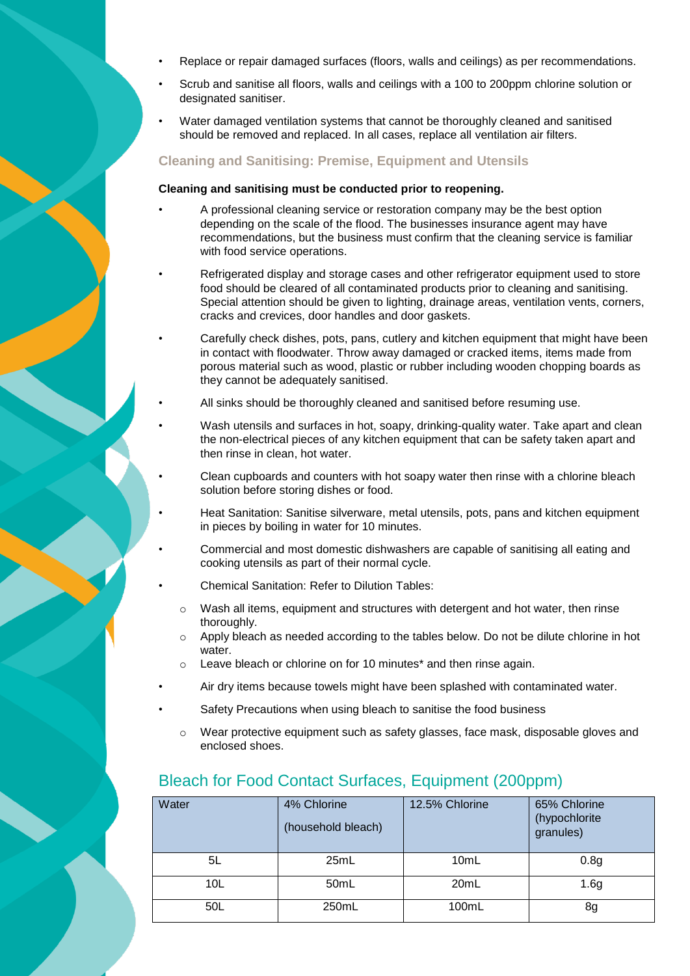- Replace or repair damaged surfaces (floors, walls and ceilings) as per recommendations.
- Scrub and sanitise all floors, walls and ceilings with a 100 to 200ppm chlorine solution or designated sanitiser.
- Water damaged ventilation systems that cannot be thoroughly cleaned and sanitised should be removed and replaced. In all cases, replace all ventilation air filters.

#### **Cleaning and Sanitising: Premise, Equipment and Utensils**

#### **Cleaning and sanitising must be conducted prior to reopening.**

- A professional cleaning service or restoration company may be the best option depending on the scale of the flood. The businesses insurance agent may have recommendations, but the business must confirm that the cleaning service is familiar with food service operations.
- Refrigerated display and storage cases and other refrigerator equipment used to store food should be cleared of all contaminated products prior to cleaning and sanitising. Special attention should be given to lighting, drainage areas, ventilation vents, corners, cracks and crevices, door handles and door gaskets.
- Carefully check dishes, pots, pans, cutlery and kitchen equipment that might have been in contact with floodwater. Throw away damaged or cracked items, items made from porous material such as wood, plastic or rubber including wooden chopping boards as they cannot be adequately sanitised.
- All sinks should be thoroughly cleaned and sanitised before resuming use.
- Wash utensils and surfaces in hot, soapy, drinking-quality water. Take apart and clean the non-electrical pieces of any kitchen equipment that can be safety taken apart and then rinse in clean, hot water.
- Clean cupboards and counters with hot soapy water then rinse with a chlorine bleach solution before storing dishes or food.
- Heat Sanitation: Sanitise silverware, metal utensils, pots, pans and kitchen equipment in pieces by boiling in water for 10 minutes.
- Commercial and most domestic dishwashers are capable of sanitising all eating and cooking utensils as part of their normal cycle.
- Chemical Sanitation: Refer to Dilution Tables:
	- $\circ$  Wash all items, equipment and structures with detergent and hot water, then rinse thoroughly.
	- $\circ$  Apply bleach as needed according to the tables below. Do not be dilute chlorine in hot water.
- o Leave bleach or chlorine on for 10 minutes\* and then rinse again.
- Air dry items because towels might have been splashed with contaminated water.
- Safety Precautions when using bleach to sanitise the food business
	- o Wear protective equipment such as safety glasses, face mask, disposable gloves and enclosed shoes.

| Water           | 4% Chlorine<br>(household bleach) | 12.5% Chlorine | 65% Chlorine<br>(hypochlorite<br>granules) |
|-----------------|-----------------------------------|----------------|--------------------------------------------|
| 5L              | 25mL                              | 10mL           | 0.8 <sub>g</sub>                           |
| 10 <sub>L</sub> | 50mL                              | 20mL           | 1.6 <sub>g</sub>                           |
| 50L             | 250mL                             | 100mL          | 8g                                         |

### Bleach for Food Contact Surfaces, Equipment (200ppm)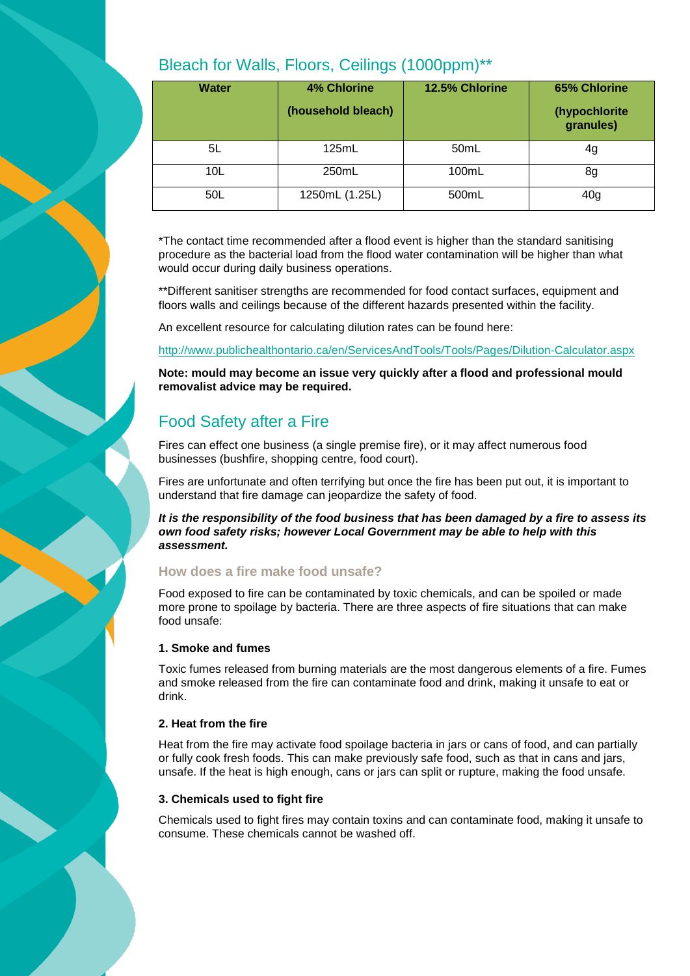| <b>Water</b> | <b>4% Chlorine</b> | 12.5% Chlorine    | 65% Chlorine               |
|--------------|--------------------|-------------------|----------------------------|
|              | (household bleach) |                   | (hypochlorite<br>granules) |
| 5L           | 125mL              | 50 <sub>m</sub> L | 4g                         |
| 10L          | 250mL              | 100mL             | 8g                         |
| 50L          | 1250mL (1.25L)     | 500mL             | 40 <sub>g</sub>            |

## Bleach for Walls, Floors, Ceilings (1000ppm)\*\*

\*The contact time recommended after a flood event is higher than the standard sanitising procedure as the bacterial load from the flood water contamination will be higher than what would occur during daily business operations.

\*\*Different sanitiser strengths are recommended for food contact surfaces, equipment and floors walls and ceilings because of the different hazards presented within the facility.

An excellent resource for calculating dilution rates can be found here:

<http://www.publichealthontario.ca/en/ServicesAndTools/Tools/Pages/Dilution-Calculator.aspx>

**Note: mould may become an issue very quickly after a flood and professional mould removalist advice may be required.**

### Food Safety after a Fire

Fires can effect one business (a single premise fire), or it may affect numerous food businesses (bushfire, shopping centre, food court).

Fires are unfortunate and often terrifying but once the fire has been put out, it is important to understand that fire damage can jeopardize the safety of food.

*It is the responsibility of the food business that has been damaged by a fire to assess its own food safety risks; however Local Government may be able to help with this assessment.*

#### **How does a fire make food unsafe?**

Food exposed to fire can be contaminated by toxic chemicals, and can be spoiled or made more prone to spoilage by bacteria. There are three aspects of fire situations that can make food unsafe:

#### **1. Smoke and fumes**

Toxic fumes released from burning materials are the most dangerous elements of a fire. Fumes and smoke released from the fire can contaminate food and drink, making it unsafe to eat or drink.

#### **2. Heat from the fire**

Heat from the fire may activate food spoilage bacteria in jars or cans of food, and can partially or fully cook fresh foods. This can make previously safe food, such as that in cans and jars, unsafe. If the heat is high enough, cans or jars can split or rupture, making the food unsafe.

#### **3. Chemicals used to fight fire**

Chemicals used to fight fires may contain toxins and can contaminate food, making it unsafe to consume. These chemicals cannot be washed off.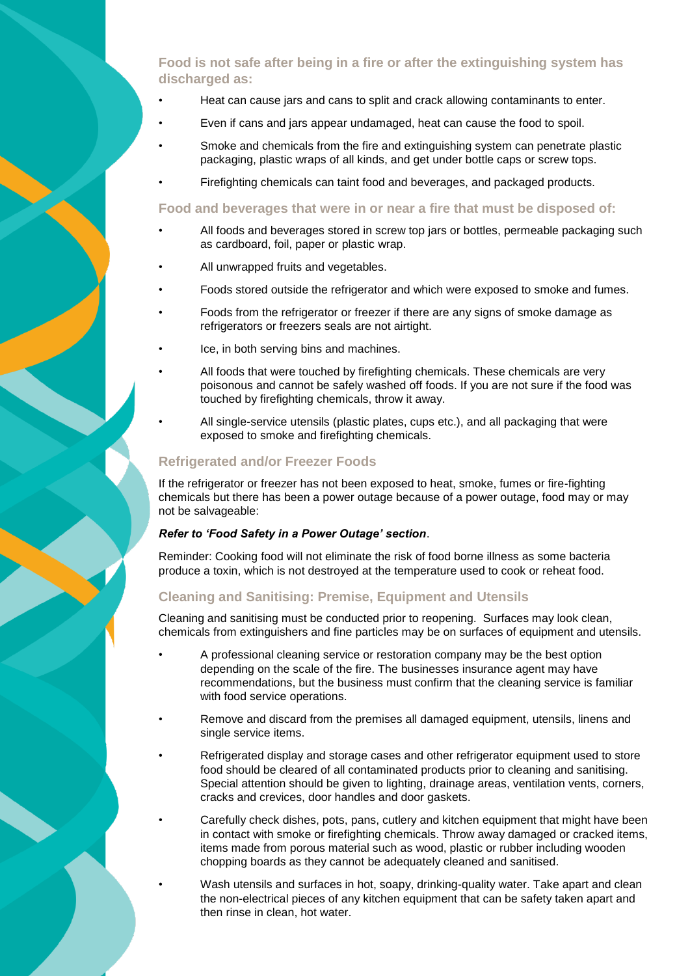#### **Food is not safe after being in a fire or after the extinguishing system has discharged as:**

- Heat can cause jars and cans to split and crack allowing contaminants to enter.
- Even if cans and jars appear undamaged, heat can cause the food to spoil.
- Smoke and chemicals from the fire and extinguishing system can penetrate plastic packaging, plastic wraps of all kinds, and get under bottle caps or screw tops.
	- Firefighting chemicals can taint food and beverages, and packaged products.

#### **Food and beverages that were in or near a fire that must be disposed of:**

- All foods and beverages stored in screw top jars or bottles, permeable packaging such as cardboard, foil, paper or plastic wrap.
- All unwrapped fruits and vegetables.
- Foods stored outside the refrigerator and which were exposed to smoke and fumes.
- Foods from the refrigerator or freezer if there are any signs of smoke damage as refrigerators or freezers seals are not airtight.
- Ice, in both serving bins and machines.
- All foods that were touched by firefighting chemicals. These chemicals are very poisonous and cannot be safely washed off foods. If you are not sure if the food was touched by firefighting chemicals, throw it away.
- All single-service utensils (plastic plates, cups etc.), and all packaging that were exposed to smoke and firefighting chemicals.

#### **Refrigerated and/or Freezer Foods**

If the refrigerator or freezer has not been exposed to heat, smoke, fumes or fire-fighting chemicals but there has been a power outage because of a power outage, food may or may not be salvageable:

#### *Refer to 'Food Safety in a Power Outage' section*.

Reminder: Cooking food will not eliminate the risk of food borne illness as some bacteria produce a toxin, which is not destroyed at the temperature used to cook or reheat food.

#### **Cleaning and Sanitising: Premise, Equipment and Utensils**

Cleaning and sanitising must be conducted prior to reopening. Surfaces may look clean, chemicals from extinguishers and fine particles may be on surfaces of equipment and utensils.

- A professional cleaning service or restoration company may be the best option depending on the scale of the fire. The businesses insurance agent may have recommendations, but the business must confirm that the cleaning service is familiar with food service operations.
- Remove and discard from the premises all damaged equipment, utensils, linens and single service items.
- Refrigerated display and storage cases and other refrigerator equipment used to store food should be cleared of all contaminated products prior to cleaning and sanitising. Special attention should be given to lighting, drainage areas, ventilation vents, corners, cracks and crevices, door handles and door gaskets.
- Carefully check dishes, pots, pans, cutlery and kitchen equipment that might have been in contact with smoke or firefighting chemicals. Throw away damaged or cracked items, items made from porous material such as wood, plastic or rubber including wooden chopping boards as they cannot be adequately cleaned and sanitised.
	- Wash utensils and surfaces in hot, soapy, drinking-quality water. Take apart and clean the non-electrical pieces of any kitchen equipment that can be safety taken apart and then rinse in clean, hot water.